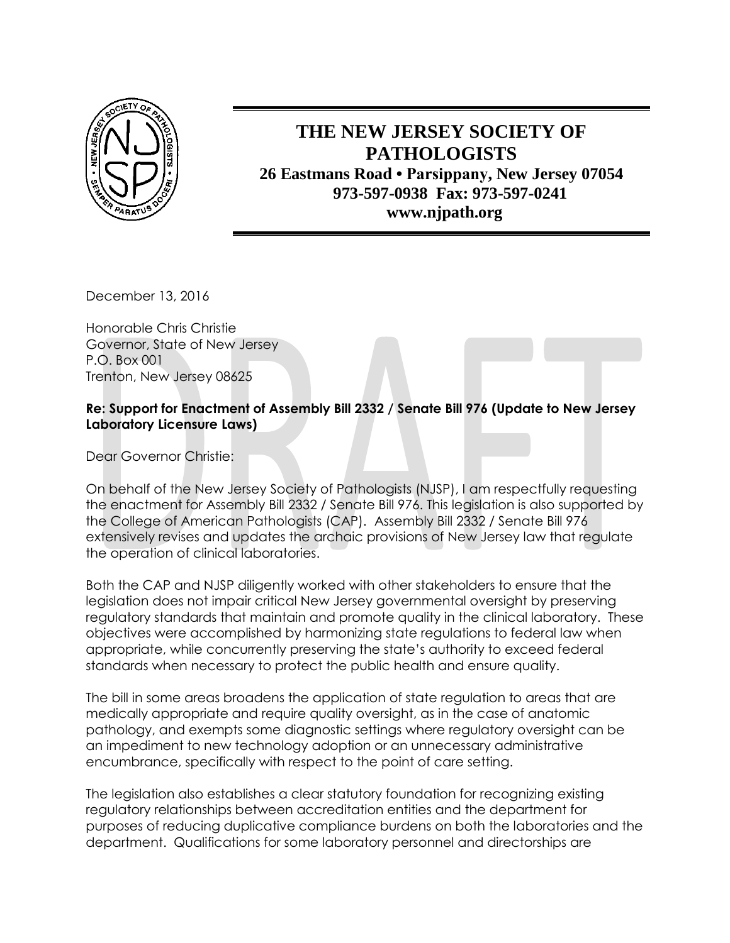

## **THE NEW JERSEY SOCIETY OF PATHOLOGISTS 26 Eastmans Road • Parsippany, New Jersey 07054 973-597-0938 Fax: 973-597-0241 www.njpath.org**

December 13, 2016

Honorable Chris Christie Governor, State of New Jersey P.O. Box 001 Trenton, New Jersey 08625

## **Re: Support for Enactment of Assembly Bill 2332 / Senate Bill 976 (Update to New Jersey Laboratory Licensure Laws)**

Dear Governor Christie:

On behalf of the New Jersey Society of Pathologists (NJSP), I am respectfully requesting the enactment for Assembly Bill 2332 / Senate Bill 976. This legislation is also supported by the College of American Pathologists (CAP). Assembly Bill 2332 / Senate Bill 976 extensively revises and updates the archaic provisions of New Jersey law that regulate the operation of clinical laboratories.

Both the CAP and NJSP diligently worked with other stakeholders to ensure that the legislation does not impair critical New Jersey governmental oversight by preserving regulatory standards that maintain and promote quality in the clinical laboratory. These objectives were accomplished by harmonizing state regulations to federal law when appropriate, while concurrently preserving the state's authority to exceed federal standards when necessary to protect the public health and ensure quality.

The bill in some areas broadens the application of state regulation to areas that are medically appropriate and require quality oversight, as in the case of anatomic pathology, and exempts some diagnostic settings where regulatory oversight can be an impediment to new technology adoption or an unnecessary administrative encumbrance, specifically with respect to the point of care setting.

The legislation also establishes a clear statutory foundation for recognizing existing regulatory relationships between accreditation entities and the department for purposes of reducing duplicative compliance burdens on both the laboratories and the department. Qualifications for some laboratory personnel and directorships are